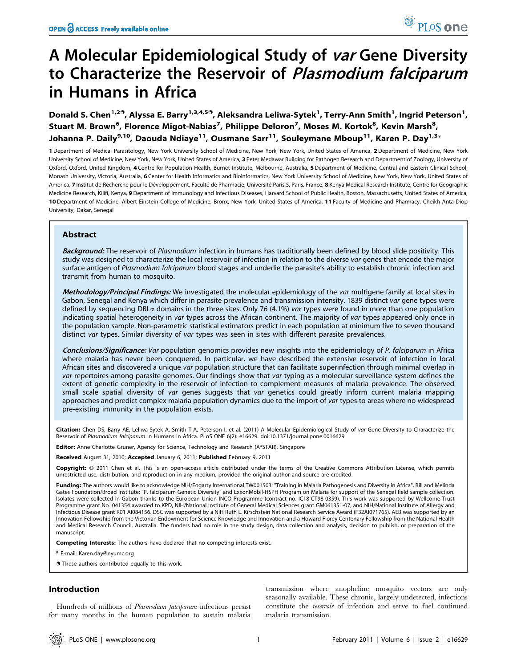# A Molecular Epidemiological Study of var Gene Diversity to Characterize the Reservoir of Plasmodium falciparum in Humans in Africa

Donald S. Chen $^{1,2,9}$ , Alyssa E. Barry $^{1,3,4,5,9}$ , Aleksandra Leliwa-Sytek $^{1}$ , Terry-Ann Smith $^{1}$ , Ingrid Peterson $^{1}$ , Stuart M. Brown<sup>6</sup>, Florence Migot-Nabias<sup>7</sup>, Philippe Deloron<sup>7</sup>, Moses M. Kortok<sup>8</sup>, Kevin Marsh<sup>8</sup>, Johanna P. Daily<sup>9,10</sup>, Daouda Ndiaye<sup>11</sup>, Ousmane Sarr<sup>11</sup>, Souleymane Mboup<sup>11</sup>, Karen P. Day<sup>1,3</sup>\*

1 Department of Medical Parasitology, New York University School of Medicine, New York, New York, United States of America, 2Department of Medicine, New York University School of Medicine, New York, New York, United States of America, 3 Peter Medawar Building for Pathogen Research and Department of Zoology, University of Oxford, Oxford, United Kingdom, 4 Centre for Population Health, Burnet Institute, Melbourne, Australia, 5 Department of Medicine, Central and Eastern Clinical School, Monash University, Victoria, Australia, 6 Center for Health Informatics and Bioinformatics, New York University School of Medicine, New York, New York, United States of America, 7 Institut de Recherche pour le Développement, Faculté de Pharmacie, Université Paris 5, Paris, France, 8 Kenya Medical Research Institute, Centre for Geographic Medicine Research, Kilifi, Kenya, 9 Department of Immunology and Infectious Diseases, Harvard School of Public Health, Boston, Massachusetts, United States of America, 10 Department of Medicine, Albert Einstein College of Medicine, Bronx, New York, United States of America, 11 Faculty of Medicine and Pharmacy, Cheikh Anta Diop University, Dakar, Senegal

# Abstract

Background: The reservoir of Plasmodium infection in humans has traditionally been defined by blood slide positivity. This study was designed to characterize the local reservoir of infection in relation to the diverse var genes that encode the major surface antigen of Plasmodium falciparum blood stages and underlie the parasite's ability to establish chronic infection and transmit from human to mosquito.

Methodology/Principal Findings: We investigated the molecular epidemiology of the var multigene family at local sites in Gabon, Senegal and Kenya which differ in parasite prevalence and transmission intensity. 1839 distinct var gene types were defined by sequencing DBL $\alpha$  domains in the three sites. Only 76 (4.1%) var types were found in more than one population indicating spatial heterogeneity in var types across the African continent. The majority of var types appeared only once in the population sample. Non-parametric statistical estimators predict in each population at minimum five to seven thousand distinct var types. Similar diversity of var types was seen in sites with different parasite prevalences.

Conclusions/Significance: Var population genomics provides new insights into the epidemiology of P. falciparum in Africa where malaria has never been conquered. In particular, we have described the extensive reservoir of infection in local African sites and discovered a unique var population structure that can facilitate superinfection through minimal overlap in var repertoires among parasite genomes. Our findings show that var typing as a molecular surveillance system defines the extent of genetic complexity in the reservoir of infection to complement measures of malaria prevalence. The observed small scale spatial diversity of var genes suggests that var genetics could greatly inform current malaria mapping approaches and predict complex malaria population dynamics due to the import of var types to areas where no widespread pre-existing immunity in the population exists.

Citation: Chen DS, Barry AE, Leliwa-Sytek A, Smith T-A, Peterson I, et al. (2011) A Molecular Epidemiological Study of var Gene Diversity to Characterize the Reservoir of Plasmodium falciparum in Humans in Africa. PLoS ONE 6(2): e16629. doi:10.1371/journal.pone.0016629

Editor: Anne Charlotte Gruner, Agency for Science, Technology and Research (A\*STAR), Singapore

#### Received August 31, 2010; Accepted January 6, 2011; Published February 9, 2011

Copyright: © 2011 Chen et al. This is an open-access article distributed under the terms of the Creative Commons Attribution License, which permits unrestricted use, distribution, and reproduction in any medium, provided the original author and source are credited.

Funding: The authors would like to acknowledge NIH/Fogarty International TW001503: "Training in Malaria Pathogenesis and Diversity in Africa", Bill and Melinda Gates Foundation/Broad Institute: "P. falciparum Genetic Diversity" and ExxonMobil-HSPH Program on Malaria for support of the Senegal field sample collection. Isolates were collected in Gabon thanks to the European Union INCO Programme (contract no. IC18-CT98-0359). This work was supported by Wellcome Trust Programme grant No. 041354 awarded to KPD, NIH/National Institute of General Medical Sciences grant GM061351-07, and NIH/National Institute of Allergy and Infectious Disease grant R01 AI084156. DSC was supported by a NIH Ruth L. Kirschstein National Research Service Award (F32AI071765). AEB was supported by an Innovation Fellowship from the Victorian Endowment for Science Knowledge and Innovation and a Howard Florey Centenary Fellowship from the National Health and Medical Research Council, Australia. The funders had no role in the study design, data collection and analysis, decision to publish, or preparation of the manuscript.

Competing Interests: The authors have declared that no competing interests exist.

- \* E-mail: Karen.day@nyumc.org
- . These authors contributed equally to this work.

# Introduction

Hundreds of millions of Plasmodium falciparum infections persist for many months in the human population to sustain malaria

transmission where anopheline mosquito vectors are only seasonally available. These chronic, largely undetected, infections constitute the reservoir of infection and serve to fuel continued malaria transmission.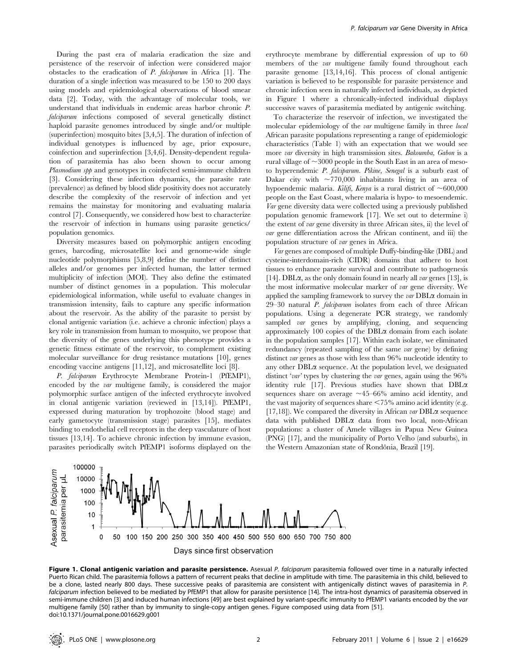During the past era of malaria eradication the size and persistence of the reservoir of infection were considered major obstacles to the eradication of P. falciparum in Africa [1]. The duration of a single infection was measured to be 150 to 200 days using models and epidemiological observations of blood smear data [2]. Today, with the advantage of molecular tools, we understand that individuals in endemic areas harbor chronic P. falciparum infections composed of several genetically distinct haploid parasite genomes introduced by single and/or multiple (superinfection) mosquito bites [3,4,5]. The duration of infection of individual genotypes is influenced by age, prior exposure, coinfection and superinfection [3,4,6]. Density-dependent regulation of parasitemia has also been shown to occur among Plasmodium spp and genotypes in coinfected semi-immune children [3]. Considering these infection dynamics, the parasite rate (prevalence) as defined by blood slide positivity does not accurately describe the complexity of the reservoir of infection and yet remains the mainstay for monitoring and evaluating malaria control [7]. Consequently, we considered how best to characterize the reservoir of infection in humans using parasite genetics/ population genomics.

Diversity measures based on polymorphic antigen encoding genes, barcoding, microsatellite loci and genome-wide single nucleotide polymorphisms [5,8,9] define the number of distinct alleles and/or genomes per infected human, the latter termed multiplicity of infection (MOI). They also define the estimated number of distinct genomes in a population. This molecular epidemiological information, while useful to evaluate changes in transmission intensity, fails to capture any specific information about the reservoir. As the ability of the parasite to persist by clonal antigenic variation (i.e. achieve a chronic infection) plays a key role in transmission from human to mosquito, we propose that the diversity of the genes underlying this phenotype provides a genetic fitness estimate of the reservoir, to complement existing molecular surveillance for drug resistance mutations [10], genes encoding vaccine antigens [11,12], and microsatellite loci [8].

P. falciparum Erythrocyte Membrane Protein-1 (PfEMP1), encoded by the var multigene family, is considered the major polymorphic surface antigen of the infected erythrocyte involved in clonal antigenic variation (reviewed in [13,14]). PfEMP1, expressed during maturation by trophozoite (blood stage) and early gametocyte (transmission stage) parasites [15], mediates binding to endothelial cell receptors in the deep vasculature of host tissues [13,14]. To achieve chronic infection by immune evasion, parasites periodically switch PfEMP1 isoforms displayed on the

erythrocyte membrane by differential expression of up to 60 members of the var multigene family found throughout each parasite genome [13,14,16]. This process of clonal antigenic variation is believed to be responsible for parasite persistence and chronic infection seen in naturally infected individuals, as depicted in Figure 1 where a chronically-infected individual displays successive waves of parasitemia mediated by antigenic switching.

To characterize the reservoir of infection, we investigated the molecular epidemiology of the *var* multigene family in three *local* African parasite populations representing a range of epidemiologic characteristics (Table 1) with an expectation that we would see more var diversity in high transmission sites. Bakoumba, Gabon is a rural village of  $\sim$ 3000 people in the South East in an area of mesoto hyperendemic P. falciparum. Pikine, Senegal is a suburb east of Dakar city with  $\sim$ 770,000 inhabitants living in an area of hypoendemic malaria. Kilifi, Kenya is a rural district of  $\sim 600,000$ people on the East Coast, where malaria is hypo- to mesoendemic. Var gene diversity data were collected using a previously published population genomic framework [17]. We set out to determine i) the extent of var gene diversity in three African sites, ii) the level of var gene differentiation across the African continent, and iii) the population structure of var genes in Africa.

Var genes are composed of multiple Duffy-binding-like (DBL) and cysteine-interdomain-rich (CIDR) domains that adhere to host tissues to enhance parasite survival and contribute to pathogenesis [14]. DBL $\alpha$ , as the only domain found in nearly all var genes [13], is the most informative molecular marker of var gene diversity. We applied the sampling framework to survey the *var*  $DBL\alpha$  domain in 29–30 natural P. falciparum isolates from each of three African populations. Using a degenerate PCR strategy, we randomly sampled var genes by amplifying, cloning, and sequencing approximately 100 copies of the DBL $\alpha$  domain from each isolate in the population samples [17]. Within each isolate, we eliminated redundancy (repeated sampling of the same var gene) by defining distinct var genes as those with less than 96% nucleotide identity to any other  $DBL\alpha$  sequence. At the population level, we designated distinct 'var' types by clustering the var genes, again using the 96% identity rule [17]. Previous studies have shown that DBLa sequences share on average  $\sim$  45–66% amino acid identity, and the vast majority of sequences share  $\leq 75\%$  amino acid identity (e.g. [17,18]). We compared the diversity in African var DBL $\alpha$  sequence data with published DBLa data from two local, non-African populations: a cluster of Amele villages in Papua New Guinea (PNG) [17], and the municipality of Porto Velho (and suburbs), in the Western Amazonian state of Rondônia, Brazil [19].



Figure 1. Clonal antigenic variation and parasite persistence. Asexual P. falciparum parasitemia followed over time in a naturally infected Puerto Rican child. The parasitemia follows a pattern of recurrent peaks that decline in amplitude with time. The parasitemia in this child, believed to be a clone, lasted nearly 800 days. These successive peaks of parasitemia are consistent with antigenically distinct waves of parasitemia in P. falciparum infection believed to be mediated by PfEMP1 that allow for parasite persistence [14]. The intra-host dynamics of parasitemia observed in semi-immune children [3] and induced human infections [49] are best explained by variant-specific immunity to PfEMP1 variants encoded by the var multigene family [50] rather than by immunity to single-copy antigen genes. Figure composed using data from [51]. doi:10.1371/journal.pone.0016629.g001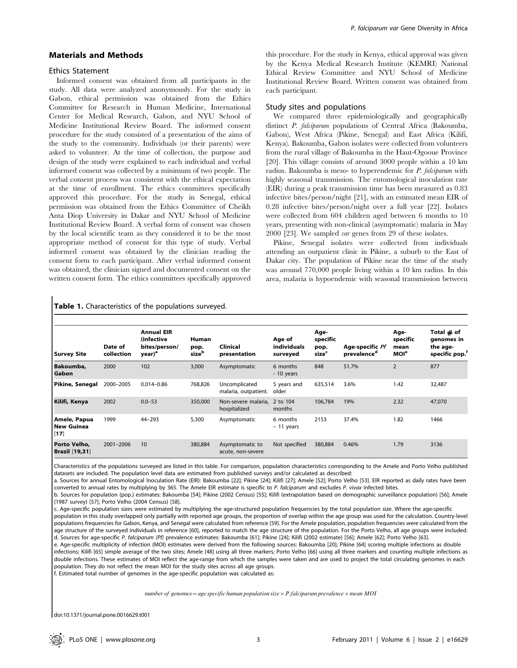## Materials and Methods

#### Ethics Statement

Informed consent was obtained from all participants in the study. All data were analyzed anonymously. For the study in Gabon, ethical permission was obtained from the Ethics Committee for Research in Human Medicine, International Center for Medical Research, Gabon, and NYU School of Medicine Institutional Review Board. The informed consent procedure for the study consisted of a presentation of the aims of the study to the community. Individuals (or their parents) were asked to volunteer. At the time of collection, the purpose and design of the study were explained to each individual and verbal informed consent was collected by a minimum of two people. The verbal consent process was consistent with the ethical expectation at the time of enrollment. The ethics committees specifically approved this procedure. For the study in Senegal, ethical permission was obtained from the Ethics Committee of Cheikh Anta Diop University in Dakar and NYU School of Medicine Institutional Review Board. A verbal form of consent was chosen by the local scientific team as they considered it to be the most appropriate method of consent for this type of study. Verbal informed consent was obtained by the clinician reading the consent form to each participant. After verbal informed consent was obtained, the clinician signed and documented consent on the written consent form. The ethics committees specifically approved this procedure. For the study in Kenya, ethical approval was given by the Kenya Medical Research Institute (KEMRI) National Ethical Review Committee and NYU School of Medicine Institutional Review Board. Written consent was obtained from each participant.

## Study sites and populations

We compared three epidemiologically and geographically distinct P. falciparum populations of Central Africa (Bakoumba, Gabon), West Africa (Pikine, Senegal) and East Africa (Kilifi, Kenya). Bakoumba, Gabon isolates were collected from volunteers from the rural village of Bakoumba in the Haut-Ogooue Province [20]. This village consists of around 3000 people within a 10 km radius. Bakoumba is meso- to hyperendemic for *P. falciparum* with highly seasonal transmission. The entomological inoculation rate (EIR) during a peak transmission time has been measured as 0.83 infective bites/person/night [21], with an estimated mean EIR of 0.28 infective bites/person/night over a full year [22]. Isolates were collected from 604 children aged between 6 months to 10 years, presenting with non-clinical (asymptomatic) malaria in May 2000 [23]. We sampled var genes from 29 of these isolates.

Pikine, Senegal isolates were collected from individuals attending an outpatient clinic in Pikine, a suburb to the East of Dakar city. The population of Pikine near the time of the study was around 770,000 people living within a 10 km radius. In this area, malaria is hypoendemic with seasonal transmission between

| Table 1. Characteristics of the populations surveyed. |  |
|-------------------------------------------------------|--|
|-------------------------------------------------------|--|

| Survey Site                                       | Date of<br>collection | <b>Annual EIR</b><br><i><b>linfective</b></i><br>bites/person/<br>year) <sup>a</sup> | <b>Human</b><br>pop.<br>sizeb | Clinical<br>presentation              | Age of<br>individuals<br>surveyed | Age-<br>specific<br>pop.<br>sizec | Age-specific Pf<br>prevalence <sup>d</sup> | Age-<br>specific<br>mean<br>MOI <sup>e</sup> | Total $#$ of<br>genomes in<br>the age-<br>specific pop. <sup>†</sup> |
|---------------------------------------------------|-----------------------|--------------------------------------------------------------------------------------|-------------------------------|---------------------------------------|-----------------------------------|-----------------------------------|--------------------------------------------|----------------------------------------------|----------------------------------------------------------------------|
| Bakoumba,<br>Gabon                                | 2000                  | 102                                                                                  | 3,000                         | Asymptomatic                          | 6 months<br>- 10 years            | 848                               | 51.7%                                      | $\overline{2}$                               | 877                                                                  |
| Pikine, Senegal                                   | 2000-2005             | $0.014 - 0.86$                                                                       | 768,826                       | Uncomplicated<br>malaria, outpatient. | 5 years and<br>older              | 635,514                           | 3.6%                                       | 1.42                                         | 32,487                                                               |
| Kilifi, Kenya                                     | 2002                  | $0.0 - 53$                                                                           | 350,000                       | Non-severe malaria,<br>hospitalized   | 2 to 104<br>months                | 106.784                           | 19%                                        | 2.32                                         | 47,070                                                               |
| Amele, Papua<br><b>New Guinea</b><br>$\vert$ [17] | 1999                  | 44-293                                                                               | 5,300                         | Asymptomatic                          | 6 months<br>$-11$ years           | 2153                              | 37.4%                                      | 1.82                                         | 1466                                                                 |
| Porto Velho,<br><b>Brazil [19,31]</b>             | 2001-2006             | 10                                                                                   | 380,884                       | Asymptomatic to<br>acute, non-severe  | Not specified                     | 380,884                           | 0.46%                                      | 1.79                                         | 3136                                                                 |

Characteristics of the populations surveyed are listed in this table. For comparison, population characteristics corresponding to the Amele and Porto Velho published datasets are included. The population level data are estimated from published surveys and/or calculated as described:

a. Sources for annual Entomological Inoculation Rate (EIR): Bakoumba [22]; Pikine [24]; Kilifi [27]; Amele [52]; Porto Velho [53]. EIR reported as daily rates have been converted to annual rates by multiplying by 365. The Amele EIR estimate is specific to P. falciparum and excludes P. vivax infected bites.

b. Sources for population (pop.) estimates: Bakoumba [54]; Pikine (2002 Census) [55]; Kilifi (extrapolation based on demographic surveillance population) [56]; Amele (1987 survey) [57]; Porto Velho (2004 Census) [58].

c. Age-specific population sizes were estimated by multiplying the age-structured population frequencies by the total population size. Where the age-specific population in this study overlapped only partially with reported age groups, the proportion of overlap within the age group was used for the calculation. Country-level populations frequencies for Gabon, Kenya, and Senegal were calculated from reference [59]. For the Amele population, population frequencies were calculated from the age structure of the surveved individuals in reference [60], reported to match the age structure of the population. For the Porto Velho, all age groups were included. d. Sources for age-specific P. falciparum (Pf) prevalence estimates: Bakoumba [61]; Pikine [24]; Kilifi (2002 estimate) [56]; Amele [62]; Porto Velho [63].

e. Age-specific multiplicity of infection (MOI) estimates were derived from the following sources: Bakoumba [20]; Pikine [64] scoring multiple infections as double infections; Kilifi [65] simple average of the two sites; Amele [48] using all three markers; Porto Velho [66] using all three markers and counting multiple infections as double infections. These estimates of MOI reflect the age-range from which the samples were taken and are used to project the total circulating genomes in each population. They do not reflect the mean MOI for the study sites across all age groups.

f. Estimated total number of genomes in the age-specific population was calculated as:

number of genomes = age specific human population size  $\times$  P.falciparum prevalence  $\times$  mean MOI

doi:10.1371/journal.pone.0016629.t001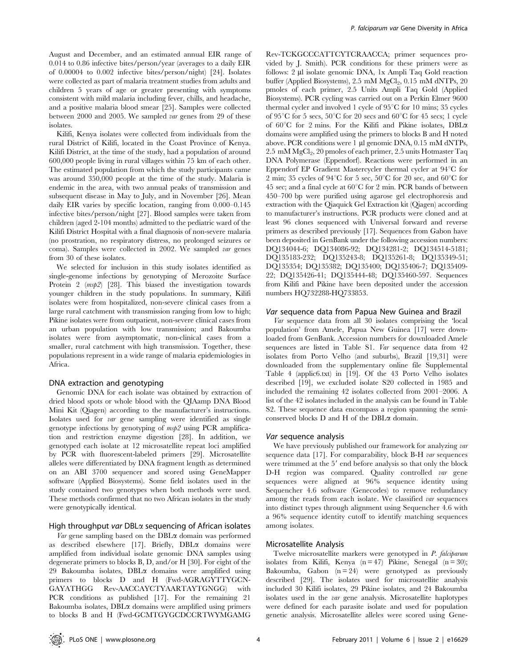August and December, and an estimated annual EIR range of 0.014 to 0.86 infective bites/person/year (averages to a daily EIR of 0.00004 to 0.002 infective bites/person/night) [24]. Isolates were collected as part of malaria treatment studies from adults and children 5 years of age or greater presenting with symptoms consistent with mild malaria including fever, chills, and headache, and a positive malaria blood smear [25]. Samples were collected between 2000 and 2005. We sampled var genes from 29 of these isolates.

Kilifi, Kenya isolates were collected from individuals from the rural District of Kilifi, located in the Coast Province of Kenya. Kilifi District, at the time of the study, had a population of around 600,000 people living in rural villages within 75 km of each other. The estimated population from which the study participants came was around 350,000 people at the time of the study. Malaria is endemic in the area, with two annual peaks of transmission and subsequent disease in May to July, and in November [26]. Mean daily EIR varies by specific location, ranging from 0.000–0.145 infective bites/person/night [27]. Blood samples were taken from children (aged 2-104 months) admitted to the pediatric ward of the Kilifi District Hospital with a final diagnosis of non-severe malaria (no prostration, no respiratory distress, no prolonged seizures or coma). Samples were collected in 2002. We sampled var genes from 30 of these isolates.

We selected for inclusion in this study isolates identified as single-genome infections by genotyping of Merozoite Surface Protein 2 ( $msp2$ ) [28]. This biased the investigation towards younger children in the study populations. In summary, Kilifi isolates were from hospitalized, non-severe clinical cases from a large rural catchment with transmission ranging from low to high; Pikine isolates were from outpatient, non-severe clinical cases from an urban population with low transmission; and Bakoumba isolates were from asymptomatic, non-clinical cases from a smaller, rural catchment with high transmission. Together, these populations represent in a wide range of malaria epidemiologies in Africa.

#### DNA extraction and genotyping

Genomic DNA for each isolate was obtained by extraction of dried blood spots or whole blood with the QIAamp DNA Blood Mini Kit (Qiagen) according to the manufacturer's instructions. Isolates used for var gene sampling were identified as single genotype infections by genotyping of msp2 using PCR amplification and restriction enzyme digestion [28]. In addition, we genotyped each isolate at 12 microsatellite repeat loci amplified by PCR with fluorescent-labeled primers [29]. Microsatellite alleles were differentiated by DNA fragment length as determined on an ABI 3700 sequencer and scored using GeneMapper software (Applied Biosystems). Some field isolates used in the study contained two genotypes when both methods were used. These methods confirmed that no two African isolates in the study were genotypically identical.

#### High throughput var DBL $\alpha$  sequencing of African isolates

Var gene sampling based on the  $DBL\alpha$  domain was performed as described elsewhere  $[17]$ . Briefly, DBL $\alpha$  domains were amplified from individual isolate genomic DNA samples using degenerate primers to blocks B, D, and/or H [30]. For eight of the 29 Bakoumba isolates, DBLa domains were amplified using primers to blocks D and H (Fwd-AGRAGYTTYGCN-GAYATHGG Rev-AACCAYCTYAARTAYTGNGG) with PCR conditions as published [17]. For the remaining 21 Bakoumba isolates,  $DBL\alpha$  domains were amplified using primers to blocks B and H (Fwd-GCMTGYGCDCCRTWYMGAMG

Rev-TCKGCCCATTCYTCRAACCA; primer sequences provided by J. Smith). PCR conditions for these primers were as follows: 2 µl isolate genomic DNA, 1x Ampli Taq Gold reaction buffer (Applied Biosystems),  $2.5 \text{ mM MgCl}_2$ ,  $0.15 \text{ mM dNTPs}$ ,  $20$ pmoles of each primer, 2.5 Units Ampli Taq Gold (Applied Biosystems). PCR cycling was carried out on a Perkin Elmer 9600 thermal cycler and involved 1 cycle of  $95^{\circ}$ C for 10 mins; 35 cycles of 95 $\mathrm{^{\circ}C}$  for 5 secs, 50 $\mathrm{^{\circ}C}$  for 20 secs and 60 $\mathrm{^{\circ}C}$  for 45 secs; 1 cycle of 60 $\degree$ C for 2 mins. For the Kilifi and Pikine isolates, DBL $\alpha$ domains were amplified using the primers to blocks B and H noted above. PCR conditions were  $1 \mu l$  genomic DNA,  $0.15 \text{ mM dNTPs}$ ,  $2.5 \text{ mM MgCl}_2$ ,  $20 \text{ pmoles}$  of each primer,  $2.5 \text{ units}$  Hotmaster Taq DNA Polymerase (Eppendorf). Reactions were performed in an Eppendorf EP Gradient Mastercycler thermal cycler at  $94^{\circ}$ C for 2 min; 35 cycles of 94 $^{\circ}$ C for 5 sec, 50 $^{\circ}$ C for 20 sec, and 60 $^{\circ}$ C for 45 sec; and a final cycle at  $60^{\circ}$ C for 2 min. PCR bands of between 450–700 bp were purified using agarose gel electrophoresis and extraction with the Qiaquick Gel Extraction kit (Qiagen) according to manufacturer's instructions. PCR products were cloned and at least 96 clones sequenced with Universal forward and reverse primers as described previously [17]. Sequences from Gabon have been deposited in GenBank under the following accession numbers: DQ134044-6; DQ134086-92; DQ134281-2; DQ134514-5181; DQ135183-232; DQ135243-8; DQ135261-8; DQ135349-51; DQ135354; DQ135382; DQ135400; DQ135406-7; DQ135409- 22; DQ135426-41; DQ135444-48; DQ135460-597. Sequences from Kilifi and Pikine have been deposited under the accession numbers HQ732288-HQ733853.

## Var sequence data from Papua New Guinea and Brazil

Var sequence data from all 30 isolates comprising the 'local population' from Amele, Papua New Guinea [17] were downloaded from GenBank. Accession numbers for downloaded Amele sequences are listed in Table S1. Var sequence data from 42 isolates from Porto Velho (and suburbs), Brazil [19,31] were downloaded from the supplementary online file Supplemental Table 4 (applic6.txt) in [19]. Of the 43 Porto Velho isolates described [19], we excluded isolate S20 collected in 1985 and included the remaining 42 isolates collected from 2001–2006. A list of the 42 isolates included in the analysis can be found in Table S2. These sequence data encompass a region spanning the semiconserved blocks D and H of the DBLa domain.

## Var sequence analysis

We have previously published our framework for analyzing var sequence data [17]. For comparability, block B-H var sequences were trimmed at the 5' end before analysis so that only the block D-H region was compared. Quality controlled var gene sequences were aligned at 96% sequence identity using Sequencher 4.6 software (Genecodes) to remove redundancy among the reads from each isolate. We classified var sequences into distinct types through alignment using Sequencher 4.6 with a 96% sequence identity cutoff to identify matching sequences among isolates.

#### Microsatellite Analysis

Twelve microsatellite markers were genotyped in P. falciparum isolates from Kilifi, Kenya  $(n = 47)$  Pikine, Senegal  $(n = 30)$ ; Bakoumba, Gabon  $(n = 24)$  were genotyped as previously described [29]. The isolates used for microsatellite analysis included 30 Kilifi isolates, 29 Pikine isolates, and 24 Bakoumba isolates used in the var gene analysis. Microsatellite haplotypes were defined for each parasite isolate and used for population genetic analysis. Microsatellite alleles were scored using Gene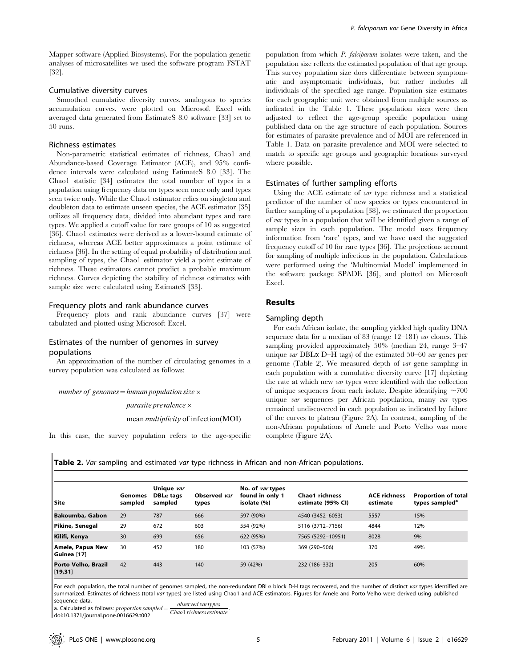Mapper software (Applied Biosystems). For the population genetic analyses of microsatellites we used the software program FSTAT [32].

## Cumulative diversity curves

Smoothed cumulative diversity curves, analogous to species accumulation curves, were plotted on Microsoft Excel with averaged data generated from EstimateS 8.0 software [33] set to 50 runs.

#### Richness estimates

Non-parametric statistical estimates of richness, Chao1 and Abundance-based Coverage Estimator (ACE), and 95% confidence intervals were calculated using EstimateS 8.0 [33]. The Chao1 statistic [34] estimates the total number of types in a population using frequency data on types seen once only and types seen twice only. While the Chao1 estimator relies on singleton and doubleton data to estimate unseen species, the ACE estimator [35] utilizes all frequency data, divided into abundant types and rare types. We applied a cutoff value for rare groups of 10 as suggested [36]. Chao1 estimates were derived as a lower-bound estimate of richness, whereas ACE better approximates a point estimate of richness [36]. In the setting of equal probability of distribution and sampling of types, the Chao1 estimator yield a point estimate of richness. These estimators cannot predict a probable maximum richness. Curves depicting the stability of richness estimates with sample size were calculated using EstimateS [33].

#### Frequency plots and rank abundance curves

Frequency plots and rank abundance curves [37] were tabulated and plotted using Microsoft Excel.

# Estimates of the number of genomes in survey populations

An approximation of the number of circulating genomes in a survey population was calculated as follows:

number of genomes = human population size  $\times$ parasite prevalence  $\times$ mean multiplicity of infection(MOI)

In this case, the survey population refers to the age-specific

population from which P. falciparum isolates were taken, and the population size reflects the estimated population of that age group. This survey population size does differentiate between symptomatic and asymptomatic individuals, but rather includes all individuals of the specified age range. Population size estimates for each geographic unit were obtained from multiple sources as indicated in the Table 1. These population sizes were then adjusted to reflect the age-group specific population using published data on the age structure of each population. Sources for estimates of parasite prevalence and of MOI are referenced in Table 1. Data on parasite prevalence and MOI were selected to match to specific age groups and geographic locations surveyed where possible.

## Estimates of further sampling efforts

Using the ACE estimate of var type richness and a statistical predictor of the number of new species or types encountered in further sampling of a population [38], we estimated the proportion of var types in a population that will be identified given a range of sample sizes in each population. The model uses frequency information from 'rare' types, and we have used the suggested frequency cutoff of 10 for rare types [36]. The projections account for sampling of multiple infections in the population. Calculations were performed using the 'Multinomial Model' implemented in the software package SPADE [36], and plotted on Microsoft Excel.

## Results

#### Sampling depth

For each African isolate, the sampling yielded high quality DNA sequence data for a median of 83 (range 12–181) var clones. This sampling provided approximately 50% (median 24, range 3–47 unique var DBLa D–H tags) of the estimated 50–60 var genes per genome (Table 2). We measured depth of var gene sampling in each population with a cumulative diversity curve [17] depicting the rate at which new var types were identified with the collection of unique sequences from each isolate. Despite identifying  $\sim$ 700 unique var sequences per African population, many var types remained undiscovered in each population as indicated by failure of the curves to plateau (Figure 2A). In contrast, sampling of the non-African populations of Amele and Porto Velho was more complete (Figure 2A).

Table 2. Var sampling and estimated var type richness in African and non-African populations.

| l Site                          | Genomes<br>sampled | Unique var<br>$DBLa$ tags<br>sampled | Observed var<br>types | No. of var types<br>found in only 1<br>isolate (%) | <b>Chao1</b> richness<br>estimate (95% CI) | <b>ACE richness</b><br>estimate | <b>Proportion of total</b><br>types sampled <sup>a</sup> |
|---------------------------------|--------------------|--------------------------------------|-----------------------|----------------------------------------------------|--------------------------------------------|---------------------------------|----------------------------------------------------------|
| Bakoumba, Gabon                 | 29                 | 787                                  | 666                   | 597 (90%)                                          | 4540 (3452-6053)                           | 5557                            | 15%                                                      |
| Pikine, Senegal                 | 29                 | 672                                  | 603                   | 554 (92%)                                          | 5116 (3712-7156)                           | 4844                            | 12%                                                      |
| Kilifi, Kenya                   | 30                 | 699                                  | 656                   | 622 (95%)                                          | 7565 (5292-10951)                          | 8028                            | 9%                                                       |
| Amele, Papua New<br>Guinea [17] | 30                 | 452                                  | 180                   | 103 (57%)                                          | 369 (290-506)                              | 370                             | 49%                                                      |
| Porto Velho, Brazil<br>[19,31]  | 42                 | 443                                  | 140                   | 59 (42%)                                           | 232 (186-332)                              | 205                             | 60%                                                      |

For each population, the total number of genomes sampled, the non-redundant DBLa block D-H tags recovered, and the number of distinct var types identified are summarized. Estimates of richness (total var types) are listed using Chao1 and ACE estimators. Figures for Amele and Porto Velho were derived using published sequence data.

a. Calculated as follows: proportion sampled<sup>~</sup> observed vartypes Chao<sup>1</sup> richness estimate :

doi:10.1371/journal.pone.0016629.t002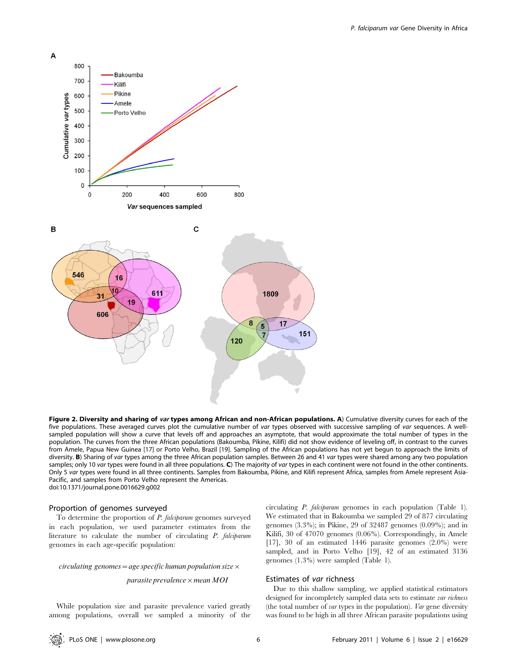

Figure 2. Diversity and sharing of var types among African and non-African populations. A) Cumulative diversity curves for each of the five populations. These averaged curves plot the cumulative number of var types observed with successive sampling of var sequences. A wellsampled population will show a curve that levels off and approaches an asymptote, that would approximate the total number of types in the population. The curves from the three African populations (Bakoumba, Pikine, Kilifi) did not show evidence of leveling off, in contrast to the curves from Amele, Papua New Guinea [17] or Porto Velho, Brazil [19]. Sampling of the African populations has not yet begun to approach the limits of diversity. B) Sharing of var types among the three African population samples. Between 26 and 41 var types were shared among any two population samples; only 10 var types were found in all three populations. C) The majority of var types in each continent were not found in the other continents. Only 5 var types were found in all three continents. Samples from Bakoumba, Pikine, and Kilifi represent Africa, samples from Amele represent Asia-Pacific, and samples from Porto Velho represent the Americas. doi:10.1371/journal.pone.0016629.g002

## Proportion of genomes surveyed

To determine the proportion of P. falciparum genomes surveyed in each population, we used parameter estimates from the literature to calculate the number of circulating P. falciparum genomes in each age-specific population:

## circulating genomes = age specific human population size  $\times$

#### parasite prevalence  $\times$  mean MOI

While population size and parasite prevalence varied greatly among populations, overall we sampled a minority of the circulating P. falciparum genomes in each population (Table 1). We estimated that in Bakoumba we sampled 29 of 877 circulating genomes (3.3%); in Pikine, 29 of 32487 genomes (0.09%); and in Kilifi, 30 of 47070 genomes (0.06%). Correspondingly, in Amele [17], 30 of an estimated 1446 parasite genomes (2.0%) were sampled, and in Porto Velho [19], 42 of an estimated 3136 genomes (1.3%) were sampled (Table 1).

# Estimates of var richness

Due to this shallow sampling, we applied statistical estimators designed for incompletely sampled data sets to estimate var richness (the total number of var types in the population). Var gene diversity was found to be high in all three African parasite populations using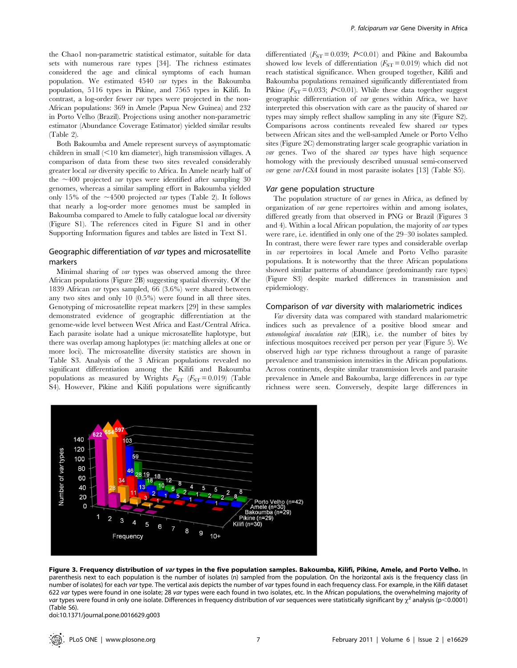the Chao1 non-parametric statistical estimator, suitable for data sets with numerous rare types [34]. The richness estimates considered the age and clinical symptoms of each human population. We estimated 4540 var types in the Bakoumba population, 5116 types in Pikine, and 7565 types in Kilifi. In contrast, a log-order fewer var types were projected in the non-African populations: 369 in Amele (Papua New Guinea) and 232 in Porto Velho (Brazil). Projections using another non-parametric estimator (Abundance Coverage Estimator) yielded similar results (Table 2).

Both Bakoumba and Amele represent surveys of asymptomatic children in small  $(<10$  km diameter), high transmission villages. A comparison of data from these two sites revealed considerably greater local var diversity specific to Africa. In Amele nearly half of the  $\sim$ 400 projected var types were identified after sampling 30 genomes, whereas a similar sampling effort in Bakoumba yielded only 15% of the  $\sim$ 4500 projected var types (Table 2). It follows that nearly a log-order more genomes must be sampled in Bakoumba compared to Amele to fully catalogue local var diversity (Figure S1). The references cited in Figure S1 and in other Supporting Information figures and tables are listed in Text S1.

# Geographic differentiation of var types and microsatellite markers

Minimal sharing of var types was observed among the three African populations (Figure 2B) suggesting spatial diversity. Of the 1839 African var types sampled, 66 (3.6%) were shared between any two sites and only 10 (0.5%) were found in all three sites. Genotyping of microsatellite repeat markers [29] in these samples demonstrated evidence of geographic differentiation at the genome-wide level between West Africa and East/Central Africa. Each parasite isolate had a unique microsatellite haplotype, but there was overlap among haplotypes (ie: matching alleles at one or more loci). The microsatellite diversity statistics are shown in Table S3. Analysis of the 3 African populations revealed no significant differentiation among the Kilifi and Bakoumba populations as measured by Wrights  $F_{ST}$  ( $F_{ST} = 0.019$ ) (Table S4). However, Pikine and Kilifi populations were significantly

differentiated  $(F_{ST} = 0.039; P \le 0.01)$  and Pikine and Bakoumba showed low levels of differentiation  $(F_{ST} = 0.019)$  which did not reach statistical significance. When grouped together, Kilifi and Bakoumba populations remained significantly differentiated from Pikine ( $F_{ST} = 0.033$ ;  $P \le 0.01$ ). While these data together suggest geographic differentiation of var genes within Africa, we have interpreted this observation with care as the paucity of shared var types may simply reflect shallow sampling in any site (Figure S2). Comparisons across continents revealed few shared var types between African sites and the well-sampled Amele or Porto Velho sites (Figure 2C) demonstrating larger scale geographic variation in var genes. Two of the shared var types have high sequence homology with the previously described unusual semi-conserved var gene var1CSA found in most parasite isolates [13] (Table S5).

## Var gene population structure

The population structure of var genes in Africa, as defined by organization of var gene repertoires within and among isolates, differed greatly from that observed in PNG or Brazil (Figures 3 and 4). Within a local African population, the majority of var types were rare, i.e. identified in only one of the 29–30 isolates sampled. In contrast, there were fewer rare types and considerable overlap in var repertoires in local Amele and Porto Velho parasite populations. It is noteworthy that the three African populations showed similar patterns of abundance (predominantly rare types) (Figure S3) despite marked differences in transmission and epidemiology.

#### Comparison of var diversity with malariometric indices

Var diversity data was compared with standard malariometric indices such as prevalence of a positive blood smear and entomological inoculation rate (EIR), i.e. the number of bites by infectious mosquitoes received per person per year (Figure 5). We observed high var type richness throughout a range of parasite prevalence and transmission intensities in the African populations. Across continents, despite similar transmission levels and parasite prevalence in Amele and Bakoumba, large differences in var type richness were seen. Conversely, despite large differences in



Figure 3. Frequency distribution of var types in the five population samples. Bakoumba, Kilifi, Pikine, Amele, and Porto Velho. In parenthesis next to each population is the number of isolates (n) sampled from the population. On the horizontal axis is the frequency class (in number of isolates) for each var type. The vertical axis depicts the number of var types found in each frequency class. For example, in the Kilifi dataset 622 var types were found in one isolate; 28 var types were each found in two isolates, etc. In the African populations, the overwhelming majority of var types were found in only one isolate. Differences in frequency distribution of var sequences were statistically significant by  $\chi^2$  analysis (p<0.0001) (Table S6).

doi:10.1371/journal.pone.0016629.g003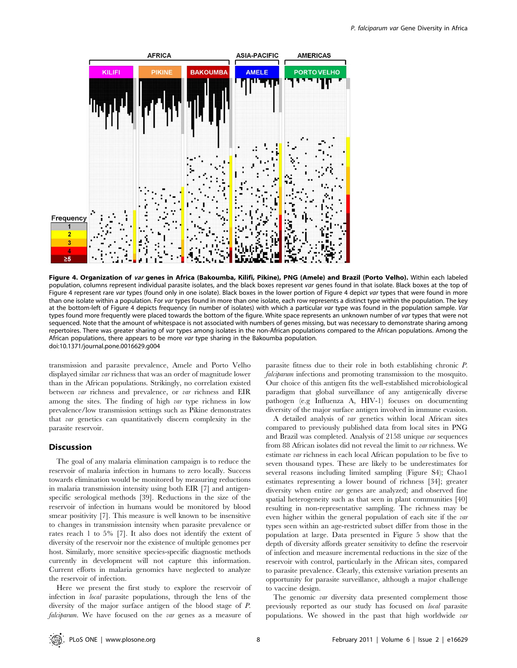

Figure 4. Organization of var genes in Africa (Bakoumba, Kilifi, Pikine), PNG (Amele) and Brazil (Porto Velho). Within each labeled population, columns represent individual parasite isolates, and the black boxes represent var genes found in that isolate. Black boxes at the top of Figure 4 represent rare var types (found only in one isolate). Black boxes in the lower portion of Figure 4 depict var types that were found in more than one isolate within a population. For var types found in more than one isolate, each row represents a distinct type within the population. The key at the bottom-left of Figure 4 depicts frequency (in number of isolates) with which a particular var type was found in the population sample. Var types found more frequently were placed towards the bottom of the figure. White space represents an unknown number of var types that were not sequenced. Note that the amount of whitespace is not associated with numbers of genes missing, but was necessary to demonstrate sharing among repertoires. There was greater sharing of var types among isolates in the non-African populations compared to the African populations. Among the African populations, there appears to be more var type sharing in the Bakoumba population. doi:10.1371/journal.pone.0016629.g004

transmission and parasite prevalence, Amele and Porto Velho displayed similar var richness that was an order of magnitude lower than in the African populations. Strikingly, no correlation existed between var richness and prevalence, or var richness and EIR among the sites. The finding of high var type richness in low prevalence/low transmission settings such as Pikine demonstrates that var genetics can quantitatively discern complexity in the parasite reservoir.

## Discussion

The goal of any malaria elimination campaign is to reduce the reservoir of malaria infection in humans to zero locally. Success towards elimination would be monitored by measuring reductions in malaria transmission intensity using both EIR [7] and antigenspecific serological methods [39]. Reductions in the size of the reservoir of infection in humans would be monitored by blood smear positivity [7]. This measure is well known to be insensitive to changes in transmission intensity when parasite prevalence or rates reach 1 to 5% [7]. It also does not identify the extent of diversity of the reservoir nor the existence of multiple genomes per host. Similarly, more sensitive species-specific diagnostic methods currently in development will not capture this information. Current efforts in malaria genomics have neglected to analyze the reservoir of infection.

Here we present the first study to explore the reservoir of infection in local parasite populations, through the lens of the diversity of the major surface antigen of the blood stage of P. falciparum. We have focused on the var genes as a measure of

parasite fitness due to their role in both establishing chronic P. falciparum infections and promoting transmission to the mosquito. Our choice of this antigen fits the well-established microbiological paradigm that global surveillance of any antigenically diverse pathogen (e.g Influenza A, HIV-1) focuses on documenting diversity of the major surface antigen involved in immune evasion.

A detailed analysis of var genetics within local African sites compared to previously published data from local sites in PNG and Brazil was completed. Analysis of 2158 unique var sequences from 88 African isolates did not reveal the limit to var richness. We estimate var richness in each local African population to be five to seven thousand types. These are likely to be underestimates for several reasons including limited sampling (Figure S4); Chao1 estimates representing a lower bound of richness [34]; greater diversity when entire *var* genes are analyzed; and observed fine spatial heterogeneity such as that seen in plant communities [40] resulting in non-representative sampling. The richness may be even higher within the general population of each site if the var types seen within an age-restricted subset differ from those in the population at large. Data presented in Figure 5 show that the depth of diversity affords greater sensitivity to define the reservoir of infection and measure incremental reductions in the size of the reservoir with control, particularly in the African sites, compared to parasite prevalence. Clearly, this extensive variation presents an opportunity for parasite surveillance, although a major challenge to vaccine design.

The genomic var diversity data presented complement those previously reported as our study has focused on local parasite populations. We showed in the past that high worldwide var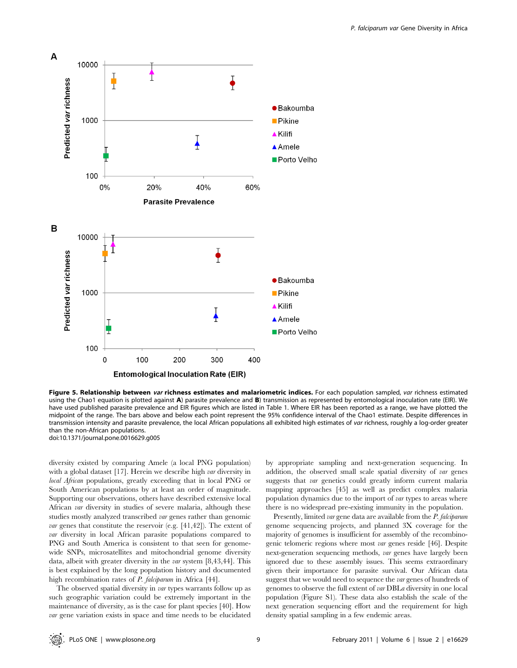

Figure 5. Relationship between var richness estimates and malariometric indices. For each population sampled, var richness estimated using the Chao1 equation is plotted against A) parasite prevalence and B) transmission as represented by entomological inoculation rate (EIR). We have used published parasite prevalence and EIR figures which are listed in Table 1. Where EIR has been reported as a range, we have plotted the midpoint of the range. The bars above and below each point represent the 95% confidence interval of the Chao1 estimate. Despite differences in transmission intensity and parasite prevalence, the local African populations all exhibited high estimates of var richness, roughly a log-order greater than the non-African populations. doi:10.1371/journal.pone.0016629.g005

diversity existed by comparing Amele (a local PNG population) with a global dataset [17]. Herein we describe high *var* diversity in local African populations, greatly exceeding that in local PNG or South American populations by at least an order of magnitude. Supporting our observations, others have described extensive local African var diversity in studies of severe malaria, although these studies mostly analyzed transcribed var genes rather than genomic var genes that constitute the reservoir (e.g. [41,42]). The extent of var diversity in local African parasite populations compared to PNG and South America is consistent to that seen for genomewide SNPs, microsatellites and mitochondrial genome diversity data, albeit with greater diversity in the var system [8,43,44]. This is best explained by the long population history and documented high recombination rates of *P. falciparum* in Africa [44].

The observed spatial diversity in var types warrants follow up as such geographic variation could be extremely important in the maintenance of diversity, as is the case for plant species [40]. How var gene variation exists in space and time needs to be elucidated by appropriate sampling and next-generation sequencing. In addition, the observed small scale spatial diversity of var genes suggests that *var* genetics could greatly inform current malaria mapping approaches [45] as well as predict complex malaria population dynamics due to the import of var types to areas where there is no widespread pre-existing immunity in the population.

Presently, limited var gene data are available from the P. falciparum genome sequencing projects, and planned 3X coverage for the majority of genomes is insufficient for assembly of the recombinogenic telomeric regions where most var genes reside [46]. Despite next-generation sequencing methods, var genes have largely been ignored due to these assembly issues. This seems extraordinary given their importance for parasite survival. Our African data suggest that we would need to sequence the var genes of hundreds of genomes to observe the full extent of var DBLa diversity in one local population (Figure S1). These data also establish the scale of the next generation sequencing effort and the requirement for high density spatial sampling in a few endemic areas.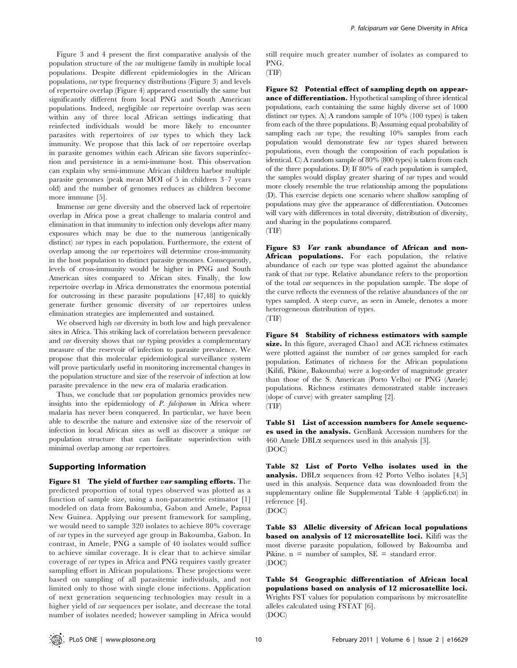Figure 3 and 4 present the first comparative analysis of the population structure of the var multigene family in multiple local populations. Despite different epidemiologies in the African populations, var type frequency distributions (Figure 3) and levels of repertoire overlap (Figure 4) appeared essentially the same but significantly different from local PNG and South American populations. Indeed, negligible var repertoire overlap was seen within any of three local African settings indicating that reinfected individuals would be more likely to encounter parasites with repertoires of var types to which they lack immunity. We propose that this lack of var repertoire overlap in parasite genomes within each African site favors superinfection and persistence in a semi-immune host. This observation can explain why semi-immune African children harbor multiple parasite genomes (peak mean MOI of 5 in children 3–7 years old) and the number of genomes reduces as children become more immune [5].

Immense var gene diversity and the observed lack of repertoire overlap in Africa pose a great challenge to malaria control and elimination in that immunity to infection only develops after many exposures which may be due to the numerous (antigenically distinct) var types in each population. Furthermore, the extent of overlap among the var repertoires will determine cross-immunity in the host population to distinct parasite genomes. Consequently, levels of cross-immunity would be higher in PNG and South American sites compared to African sites. Finally, the low repertoire overlap in Africa demonstrates the enormous potential for outcrossing in these parasite populations [47,48] to quickly generate further genomic diversity of var repertoires unless elimination strategies are implemented and sustained.

We observed high var diversity in both low and high prevalence sites in Africa. This striking lack of correlation between prevalence and var diversity shows that var typing provides a complementary measure of the reservoir of infection to parasite prevalence. We propose that this molecular epidemiological surveillance system will prove particularly useful in monitoring incremental changes in the population structure and size of the reservoir of infection at low parasite prevalence in the new era of malaria eradication.

Thus, we conclude that var population genomics provides new insights into the epidemiology of P. falciparum in Africa where malaria has never been conquered. In particular, we have been able to describe the nature and extensive size of the reservoir of infection in local African sites as well as discover a unique var population structure that can facilitate superinfection with minimal overlap among var repertoires.

## Supporting Information

Figure S1 The yield of further var sampling efforts. The predicted proportion of total types observed was plotted as a function of sample size, using a non-parametric estimator [1] modeled on data from Bakoumba, Gabon and Amele, Papua New Guinea. Applying our present framework for sampling, we would need to sample 320 isolates to achieve 80% coverage of var types in the surveyed age group in Bakoumba, Gabon. In contrast, in Amele, PNG a sample of 40 isolates would suffice to achieve similar coverage. It is clear that to achieve similar coverage of var types in Africa and PNG requires vastly greater sampling effort in African populations. These projections were based on sampling of all parasitemic individuals, and not limited only to those with single clone infections. Application of next generation sequencing technologies may result in a higher yield of var sequences per isolate, and decrease the total number of isolates needed; however sampling in Africa would still require much greater number of isolates as compared to PNG.

(TIF)

Figure S2 Potential effect of sampling depth on appearance of differentiation. Hypothetical sampling of three identical populations, each containing the same highly diverse set of 1000 distinct var types. A) A random sample of 10% (100 types) is taken from each of the three populations. B) Assuming equal probability of sampling each *var* type, the resulting 10% samples from each population would demonstrate few var types shared between populations, even though the composition of each population is identical. C) A random sample of 80% (800 types) is taken from each of the three populations. D) If 80% of each population is sampled, the samples would display greater sharing of var types and would more closely resemble the true relationship among the populations (D). This exercise depicts one scenario where shallow sampling of populations may give the appearance of differentiation. Outcomes will vary with differences in total diversity, distribution of diversity, and sharing in the populations compared. (TIF)

Figure S3 Var rank abundance of African and non-African populations. For each population, the relative abundance of each var type was plotted against the abundance rank of that var type. Relative abundance refers to the proportion of the total var sequences in the population sample. The slope of the curve reflects the evenness of the relative abundances of the var types sampled. A steep curve, as seen in Amele, denotes a more heterogeneous distribution of types.

(TIF)

Figure S4 Stability of richness estimators with sample size. In this figure, averaged Chao1 and ACE richness estimates were plotted against the number of var genes sampled for each population. Estimates of richness for the African populations (Kilifi, Pikine, Bakoumba) were a log-order of magnitude greater than those of the S. American (Porto Velho) or PNG (Amele) populations. Richness estimates demonstrated stable increases (slope of curve) with greater sampling [2]. (TIF)

Table S1 List of accession numbers for Amele sequences used in the analysis. GenBank Accession numbers for the  $460$  Amele DBL $\alpha$  sequences used in this analysis [3]. (DOC)

Table S2 List of Porto Velho isolates used in the analysis. DBL $\alpha$  sequences from 42 Porto Velho isolates [4,5] used in this analysis. Sequence data was downloaded from the supplementary online file Supplemental Table 4 (applic6.txt) in reference [4]. (DOC)

Table S3 Allelic diversity of African local populations based on analysis of 12 microsatellite loci. Kilifi was the most diverse parasite population, followed by Bakoumba and Pikine.  $n =$  number of samples,  $SE =$  standard error. (DOC)

Table S4 Geographic differentiation of African local populations based on analysis of 12 microsatellite loci. Wrights FST values for population comparisons by microsatellite alleles calculated using FSTAT [6]. (DOC)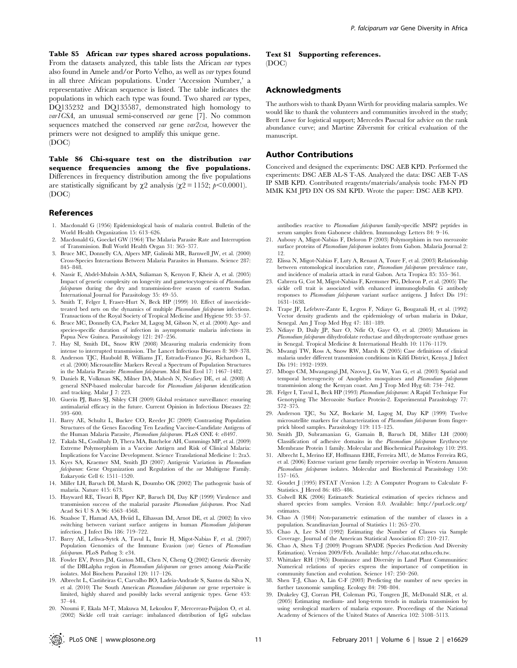Table S5 African var types shared across populations. From the datasets analyzed, this table lists the African var types also found in Amele and/or Porto Velho, as well as var types found in all three African populations. Under 'Accession Number,' a representative African sequence is listed. The table indicates the populations in which each type was found. Two shared var types, DQ135232 and DQ135587, demonstrated high homology to var1CSA, an unusual semi-conserved var gene [7]. No common sequences matched the conserved var gene var2csa, however the primers were not designed to amplify this unique gene. (DOC)

Table S6 Chi-square test on the distribution var sequence frequencies among the five populations. Differences in frequency distribution among the five populations are statistically significant by  $\chi$ 2 analysis ( $\chi$ 2 = 1152;  $p$ <0.0001). (DOC)

#### References

- 1. Macdonald G (1956) Epidemiological basis of malaria control. Bulletin of the World Health Organization 15: 613–626.
- 2. Macdonald G, Goeckel GW (1964) The Malaria Parasite Rate and Interruption of Transmission. Bull World Health Organ 31: 365–377.
- 3. Bruce MC, Donnelly CA, Alpers MP, Galinski MR, Barnwell JW, et al. (2000) Cross-Species Interactions Between Malaria Parasites in Humans. Science 287: 845–848.
- 4. Nassir E, Abdel-Muhsin A-MA, Suliaman S, Kenyon F, Kheir A, et al. (2005) Impact of genetic complexity on longevity and gametocytogenesis of Plasmodium falciparum during the dry and transmission-free season of eastern Sudan. International Journal for Parasitology 35: 49–55.
- 5. Smith T, Felger I, Fraser-Hurt N, Beck HP (1999) 10. Effect of insecticidetreated bed nets on the dynamics of multiple Plasmodium falciparum infections. Transactions of the Royal Society of Tropical Medicine and Hygiene 93: 53–57.
- 6. Bruce MC, Donnelly CA, Packer M, Lagog M, Gibson N, et al. (2000) Age- and species-specific duration of infection in asymptomatic malaria infections in Papua New Guinea. Parasitology 121: 247–256.
- 7. Hay SI, Smith DL, Snow RW (2008) Measuring malaria endemicity from intense to interrupted transmission. The Lancet Infectious Diseases 8: 369–378.
- 8. Anderson TJC, Haubold B, Williams JT, Estrada-Franco JG, Richardson L, et al. (2000) Microsatellite Markers Reveal a Spectrum of Population Structures in the Malaria Parasite Plasmodium falciparum. Mol Biol Evol 17: 1467–1482.
- 9. Daniels R, Volkman SK, Milner DA, Mahesh N, Neafsey DE, et al. (2008) A general SNP-based molecular barcode for Plasmodium falciparum identification and tracking. Malar J 7: 223.
- 10. Guerin PJ, Bates SJ, Sibley CH (2009) Global resistance surveillance: ensuring antimalarial efficacy in the future. Current Opinion in Infectious Diseases 22: 593–600.
- 11. Barry AE, Schultz L, Buckee CO, Reeder JC (2009) Contrasting Population Structures of the Genes Encoding Ten Leading Vaccine-Candidate Antigens of the Human Malaria Parasite, Plasmodium falciparum. PLoS ONE 4: e8497.
- 12. Takala SL, Coulibaly D, Thera MA, Batchelor AH, Cummings MP, et al. (2009) Extreme Polymorphism in a Vaccine Antigen and Risk of Clinical Malaria: Implications for Vaccine Development. Science Translational Medicine 1: 2ra5.
- 13. Kyes SA, Kraemer SM, Smith JD (2007) Antigenic Variation in Plasmodium falciparum: Gene Organization and Regulation of the var Multigene Family. Eukaryotic Cell 6: 1511–1520.
- 14. Miller LH, Baruch DI, Marsh K, Doumbo OK (2002) The pathogenic basis of malaria. Nature 415: 673.
- 15. Hayward RE, Tiwari B, Piper KP, Baruch DI, Day KP (1999) Virulence and transmission success of the malarial parasite Plasmodium falciparum. Proc Natl Acad Sci U S A 96: 4563–4568.
- 16. Staalsoe T, Hamad AA, Hviid L, Elhassan IM, Arnot DE, et al. (2002) In vivo switching between variant surface antigens in human Plasmodium falciparum infection. J Infect Dis 186: 719–722.
- 17. Barry AE, Leliwa-Sytek A, Tavul L, Imrie H, Migot-Nabias F, et al. (2007) Population Genomics of the Immune Evasion (var) Genes of Plasmodium falciparum. PLoS Pathog 3: e34.
- 18. Fowler EV, Peters JM, Gatton ML, Chen N, Cheng Q (2002) Genetic diversity of the DBLalpha region in Plasmodium falciparum var genes among Asia-Pacific isolates. Mol Biochem Parasitol 120: 117–126.
- 19. Albrecht L, Castiñeiras C, Carvalho BO, Ladeia-Andrade S, Santos da Silva N, et al. (2010) The South American Plasmodium falciparum var gene repertoire is limited, highly shared and possibly lacks several antigenic types. Gene 453: 37–44.
- 20. Ntoumi F, Ekala M-T, Makuwa M, Lekoulou F, Mercereau-Puijalon O, et al. (2002) Sickle cell trait carriage: imbalanced distribution of IgG subclass

#### Text S1 Supporting references. (DOC)

## Acknowledgments

The authors wish to thank Dyann Wirth for providing malaria samples. We would like to thank the volunteers and communities involved in the study; Brett Lowe for logistical support; Mercedes Pascual for advice on the rank abundance curve; and Martine Zilversmit for critical evaluation of the manuscript.

#### Author Contributions

Conceived and designed the experiments: DSC AEB KPD. Performed the experiments: DSC AEB AL-S T-AS. Analyzed the data: DSC AEB T-AS IP SMB KPD. Contributed reagents/materials/analysis tools: FM-N PD MMK KM JPD DN OS SM KPD. Wrote the paper: DSC AEB KPD.

antibodies reactive to Plasmodium falciparum family-specific MSP2 peptides in serum samples from Gabonese children. Immunology Letters 84: 9–16.

- 21. Aubouy A, Migot-Nabias F, Deloron P (2003) Polymorphism in two merozoite surface proteins of Plasmodium falciparum isolates from Gabon. Malaria Journal 2: 12.
- 22. Elissa N, Migot-Nabias F, Luty A, Renaut A, Toure F, et al. (2003) Relationship between entomological inoculation rate, Plasmodium falciparum prevalence rate, and incidence of malaria attack in rural Gabon. Acta Tropica 85: 355–361.
- 23. Cabrera G, Cot M, Migot-Nabias F, Kremsner PG, Deloron P, et al. (2005) The sickle cell trait is associated with enhanced immunoglobulin G antibody responses to Plasmodium falciparum variant surface antigens. J Infect Dis 191: 1631–1638.
- 24. Trape JF, Lefebvre-Zante E, Legros F, Ndiaye G, Bouganali H, et al. (1992) Vector density gradients and the epidemiology of urban malaria in Dakar, Senegal. Am J Trop Med Hyg 47: 181-189.
- 25. Ndiaye D, Daily JP, Sarr O, Ndir O, Gaye O, et al. (2005) Mutations in Plasmodium falciparum dihydrofolate reductase and dihydropteroate synthase genes in Senegal. Tropical Medicine & International Health 10: 1176–1179.
- 26. Mwangi TW, Ross A, Snow RW, Marsh K (2005) Case definitions of clinical malaria under different transmission conditions in Kilifi District, Kenya. J Infect Dis 191: 1932–1939.
- 27. Mbogo CM, Mwangangi JM, Nzovu J, Gu W, Yan G, et al. (2003) Spatial and temporal heterogeneity of Anopheles mosquitoes and Plasmodium falciparum transmission along the Kenyan coast. Am J Trop Med Hyg 68: 734–742.
- 28. Felger I, Tavul L, Beck HP (1993) Plasmodium falciparum: A Rapid Technique For Genotyping The Merozoite Surface Protein-2. Experimental Parasitology 77: 372–375.
- 29. Anderson TJC, Su XZ, Bockarie M, Lagog M, Day KP (1999) Twelve microsatellite markers for characterization of Plasmodium falciparum from fingerprick blood samples. Parasitology 119: 113–125.
- 30. Smith JD, Subramanian G, Gamain B, Baruch DI, Miller LH (2000) Classification of adhesive domains in the Plasmodium falciparum Erythrocyte Membrane Protein 1 family. Molecular and Biochemical Parasitology 110: 293.
- 31. Albrecht L, Merino EF, Hoffmann EHE, Ferreira MU, de Mattos Ferreira RG, et al. (2006) Extense variant gene family repertoire overlap in Western Amazon Plasmodium falciparum isolates. Molecular and Biochemical Parasitology 150: 157–165.
- 32. Goudet J (1995) FSTAT (Version 1.2): A Computer Program to Calculate F-Statistics. J Hered 86: 485–486.
- 33. Colwell RK (2006) EstimateS: Statistical estimation of species richness and shared species from samples. Version 8.0. Available: http://purl.oclc.org/ estimates
- 34. Chao A (1984) Non-parametric estimation of the number of classes in a population. Scandinavian Journal of Statistics 11: 265–270.
- 35. Chao A, Lee S-M (1992) Estimating the Number of Classes via Sample Coverage. Journal of the American Statistical Association 87: 210–217.
- 36. Chao A, Shen T-J (2009) Program SPADE (Species Prediction And Diversity Estimation). Version 2009/Feb. Available: http://chao.stat.nthu.edu.tw.
- 37. Whittaker RH (1965) Dominance and Diversity in Land Plant Communities: Numerical relations of species express the importance of competition in community function and evolution. Science 147: 250–260.
- 38. Shen T-J, Chao A, Lin C-F (2003) Predicting the number of new species in further taxonomic sampling. Ecology 84: 798–804.
- 39. Drakeley CJ, Corran PH, Coleman PG, Tongren JE, McDonald SLR, et al. (2005) Estimating medium- and long-term trends in malaria transmission by using serological markers of malaria exposure. Proceedings of the National Academy of Sciences of the United States of America 102: 5108–5113.